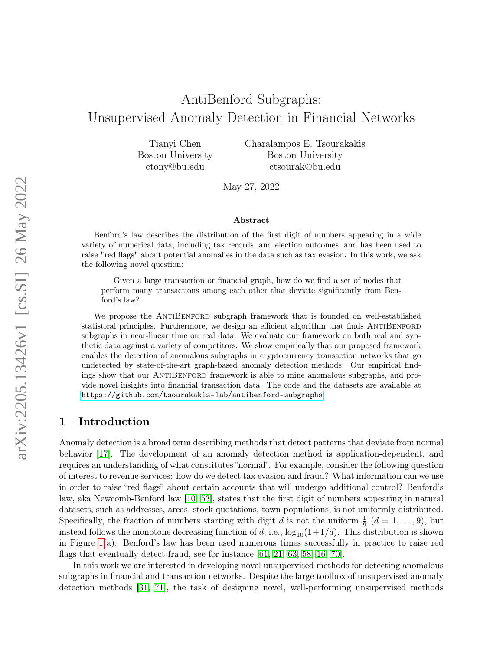# AntiBenford Subgraphs: Unsupervised Anomaly Detection in Financial Networks

Tianyi Chen Boston University ctony@bu.edu

Charalampos E. Tsourakakis Boston University ctsourak@bu.edu

May 27, 2022

#### Abstract

Benford's law describes the distribution of the first digit of numbers appearing in a wide variety of numerical data, including tax records, and election outcomes, and has been used to raise "red flags" about potential anomalies in the data such as tax evasion. In this work, we ask the following novel question:

Given a large transaction or financial graph, how do we find a set of nodes that perform many transactions among each other that deviate significantly from Benford's law?

We propose the ANTIBENFORD subgraph framework that is founded on well-established statistical principles. Furthermore, we design an efficient algorithm that finds ANTIBENFORD subgraphs in near-linear time on real data. We evaluate our framework on both real and synthetic data against a variety of competitors. We show empirically that our proposed framework enables the detection of anomalous subgraphs in cryptocurrency transaction networks that go undetected by state-of-the-art graph-based anomaly detection methods. Our empirical findings show that our ANTIBENFORD framework is able to mine anomalous subgraphs, and provide novel insights into financial transaction data. The code and the datasets are available at <https://github.com/tsourakakis-lab/antibenford-subgraphs>.

### 1 Introduction

Anomaly detection is a broad term describing methods that detect patterns that deviate from normal behavior [\[17\]](#page-13-0). The development of an anomaly detection method is application-dependent, and requires an understanding of what constitutes "normal". For example, consider the following question of interest to revenue services: how do we detect tax evasion and fraud? What information can we use in order to raise "red flags" about certain accounts that will undergo additional control? Benford's law, aka Newcomb-Benford law [\[10,](#page-13-1) [53\]](#page-16-0), states that the first digit of numbers appearing in natural datasets, such as addresses, areas, stock quotations, town populations, is not uniformly distributed. Specifically, the fraction of numbers starting with digit d is not the uniform  $\frac{1}{9}$   $(d = 1, \ldots, 9)$ , but instead follows the monotone decreasing function of d, i.e.,  $\log_{10}(1+1/d)$ . This distribution is shown in Figure [1\(](#page-1-0)a). Benford's law has been used numerous times successfully in practice to raise red flags that eventually detect fraud, see for instance [\[61,](#page-16-1) [21,](#page-14-0) [63,](#page-16-2) [58,](#page-16-3) [16,](#page-13-2) [70\]](#page-17-0).

In this work we are interested in developing novel unsupervised methods for detecting anomalous subgraphs in financial and transaction networks. Despite the large toolbox of unsupervised anomaly detection methods [\[31,](#page-14-1) [71\]](#page-17-1), the task of designing novel, well-performing unsupervised methods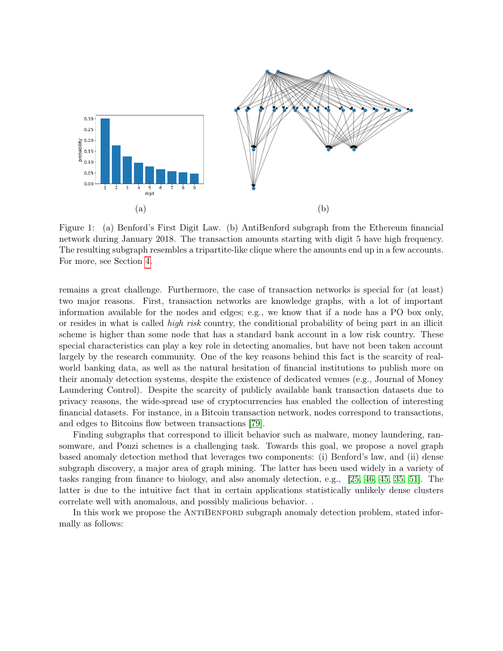<span id="page-1-0"></span>

Figure 1: (a) Benford's First Digit Law. (b) AntiBenford subgraph from the Ethereum financial network during January 2018. The transaction amounts starting with digit 5 have high frequency. The resulting subgraph resembles a tripartite-like clique where the amounts end up in a few accounts. For more, see Section [4.](#page-8-0)

remains a great challenge. Furthermore, the case of transaction networks is special for (at least) two major reasons. First, transaction networks are knowledge graphs, with a lot of important information available for the nodes and edges; e.g., we know that if a node has a PO box only, or resides in what is called high risk country, the conditional probability of being part in an illicit scheme is higher than some node that has a standard bank account in a low risk country. These special characteristics can play a key role in detecting anomalies, but have not been taken account largely by the research community. One of the key reasons behind this fact is the scarcity of realworld banking data, as well as the natural hesitation of financial institutions to publish more on their anomaly detection systems, despite the existence of dedicated venues (e.g., Journal of Money Laundering Control). Despite the scarcity of publicly available bank transaction datasets due to privacy reasons, the wide-spread use of cryptocurrencies has enabled the collection of interesting financial datasets. For instance, in a Bitcoin transaction network, nodes correspond to transactions, and edges to Bitcoins flow between transactions [\[79\]](#page-18-0).

Finding subgraphs that correspond to illicit behavior such as malware, money laundering, ransomware, and Ponzi schemes is a challenging task. Towards this goal, we propose a novel graph based anomaly detection method that leverages two components: (i) Benford's law, and (ii) dense subgraph discovery, a major area of graph mining. The latter has been used widely in a variety of tasks ranging from finance to biology, and also anomaly detection, e.g., [\[25,](#page-14-2) [46,](#page-15-0) [45,](#page-15-1) [35,](#page-15-2) [51\]](#page-16-4). The latter is due to the intuitive fact that in certain applications statistically unlikely dense clusters correlate well with anomalous, and possibly malicious behavior. .

In this work we propose the ANTIBENFORD subgraph anomaly detection problem, stated informally as follows: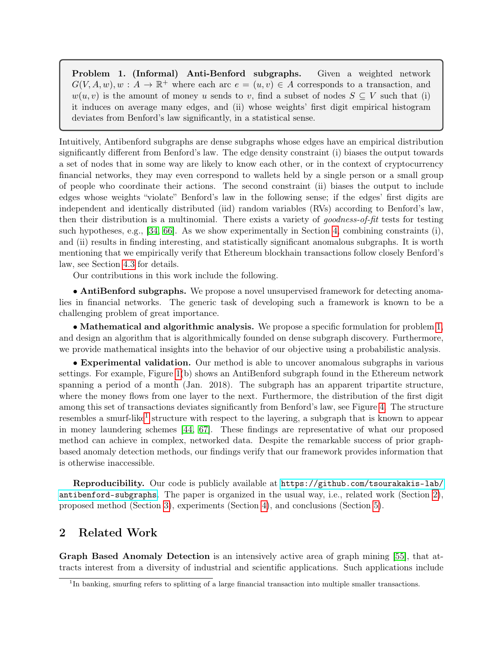<span id="page-2-0"></span>Problem 1. (Informal) Anti-Benford subgraphs. Given a weighted network  $G(V, A, w), w : A \to \mathbb{R}^+$  where each arc  $e = (u, v) \in A$  corresponds to a transaction, and  $w(u, v)$  is the amount of money u sends to v, find a subset of nodes  $S \subseteq V$  such that (i) it induces on average many edges, and (ii) whose weights' first digit empirical histogram deviates from Benford's law significantly, in a statistical sense.

Intuitively, Antibenford subgraphs are dense subgraphs whose edges have an empirical distribution significantly different from Benford's law. The edge density constraint (i) biases the output towards a set of nodes that in some way are likely to know each other, or in the context of cryptocurrency financial networks, they may even correspond to wallets held by a single person or a small group of people who coordinate their actions. The second constraint (ii) biases the output to include edges whose weights "violate" Benford's law in the following sense; if the edges' first digits are independent and identically distributed (iid) random variables (RVs) according to Benford's law, then their distribution is a multinomial. There exists a variety of goodness-of-fit tests for testing such hypotheses, e.g., [\[34,](#page-14-3) [66\]](#page-17-2). As we show experimentally in Section [4,](#page-8-0) combining constraints (i), and (ii) results in finding interesting, and statistically significant anomalous subgraphs. It is worth mentioning that we empirically verify that Ethereum blockhain transactions follow closely Benford's law, see Section [4.3](#page-9-0) for details.

Our contributions in this work include the following.

• AntiBenford subgraphs. We propose a novel unsupervised framework for detecting anomalies in financial networks. The generic task of developing such a framework is known to be a challenging problem of great importance.

• Mathematical and algorithmic analysis. We propose a specific formulation for problem [1,](#page-2-0) and design an algorithm that is algorithmically founded on dense subgraph discovery. Furthermore, we provide mathematical insights into the behavior of our objective using a probabilistic analysis.

• Experimental validation. Our method is able to uncover anomalous subgraphs in various settings. For example, Figure [1\(](#page-1-0)b) shows an AntiBenford subgraph found in the Ethereum network spanning a period of a month (Jan. 2018). The subgraph has an apparent tripartite structure, where the money flows from one layer to the next. Furthermore, the distribution of the first digit among this set of transactions deviates significantly from Benford's law, see Figure [4.](#page-11-0) The structure resembles a smurf-like<sup>[1](#page-2-1)</sup> structure with respect to the layering, a subgraph that is known to appear in money laundering schemes [\[44,](#page-15-3) [67\]](#page-17-3). These findings are representative of what our proposed method can achieve in complex, networked data. Despite the remarkable success of prior graphbased anomaly detection methods, our findings verify that our framework provides information that is otherwise inaccessible.

Reproducibility. Our code is publicly available at [https://github.com/tsourakakis-lab/](https://github.com/tsourakakis-lab/antibenford-subgraphs) [antibenford-subgraphs](https://github.com/tsourakakis-lab/antibenford-subgraphs). The paper is organized in the usual way, i.e., related work (Section [2\)](#page-2-2), proposed method (Section [3\)](#page-5-0), experiments (Section [4\)](#page-8-0), and conclusions (Section [5\)](#page-12-0).

# <span id="page-2-2"></span>2 Related Work

Graph Based Anomaly Detection is an intensively active area of graph mining [\[55\]](#page-16-5), that attracts interest from a diversity of industrial and scientific applications. Such applications include

<span id="page-2-1"></span><sup>&</sup>lt;sup>1</sup>In banking, smurfing refers to splitting of a large financial transaction into multiple smaller transactions.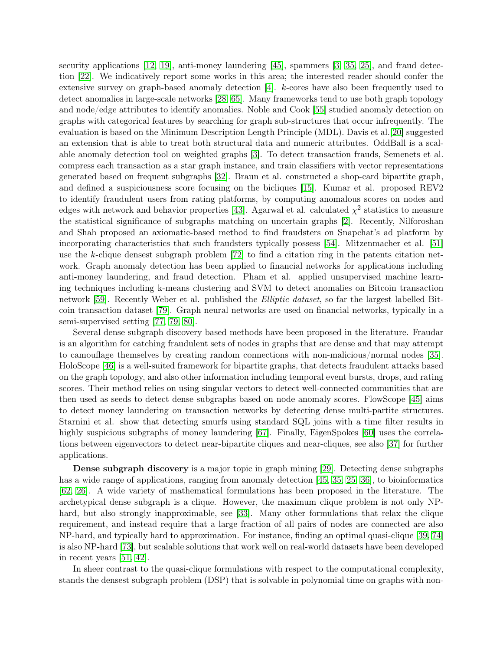security applications [\[12,](#page-13-3) [19\]](#page-14-4), anti-money laundering [\[45\]](#page-15-1), spammers [\[3,](#page-12-1) [35,](#page-15-2) [25\]](#page-14-2), and fraud detection [\[22\]](#page-14-5). We indicatively report some works in this area; the interested reader should confer the extensive survey on graph-based anomaly detection [\[4\]](#page-13-4). k-cores have also been frequently used to detect anomalies in large-scale networks [\[28,](#page-14-6) [65\]](#page-17-4). Many frameworks tend to use both graph topology and node/edge attributes to identify anomalies. Noble and Cook [\[55\]](#page-16-5) studied anomaly detection on graphs with categorical features by searching for graph sub-structures that occur infrequently. The evaluation is based on the Minimum Description Length Principle (MDL). Davis et al.[\[20\]](#page-14-7) suggested an extension that is able to treat both structural data and numeric attributes. OddBall is a scalable anomaly detection tool on weighted graphs [\[3\]](#page-12-1). To detect transaction frauds, Semenets et al. compress each transaction as a star graph instance, and train classifiers with vector representations generated based on frequent subgraphs [\[32\]](#page-14-8). Braun et al. constructed a shop-card bipartite graph, and defined a suspiciousness score focusing on the bicliques [\[15\]](#page-13-5). Kumar et al. proposed REV2 to identify fraudulent users from rating platforms, by computing anomalous scores on nodes and edges with network and behavior properties [\[43\]](#page-15-4). Agarwal et al. calculated  $\chi^2$  statistics to measure the statistical significance of subgraphs matching on uncertain graphs [\[2\]](#page-12-2). Recently, Nilforoshan and Shah proposed an axiomatic-based method to find fraudsters on Snapchat's ad platform by incorporating characteristics that such fraudsters typically possess [\[54\]](#page-16-6). Mitzenmacher et al. [\[51\]](#page-16-4) use the k-clique densest subgraph problem [\[72\]](#page-17-5) to find a citation ring in the patents citation network. Graph anomaly detection has been applied to financial networks for applications including anti-money laundering, and fraud detection. Pham et al. applied unsupervised machine learning techniques including k-means clustering and SVM to detect anomalies on Bitcoin transaction network [\[59\]](#page-16-7). Recently Weber et al. published the *Elliptic dataset*, so far the largest labelled Bitcoin transaction dataset [\[79\]](#page-18-0). Graph neural networks are used on financial networks, typically in a semi-supervised setting [\[77,](#page-17-6) [79,](#page-18-0) [80\]](#page-18-1).

Several dense subgraph discovery based methods have been proposed in the literature. Fraudar is an algorithm for catching fraudulent sets of nodes in graphs that are dense and that may attempt to camouflage themselves by creating random connections with non-malicious/normal nodes [\[35\]](#page-15-2). HoloScope [\[46\]](#page-15-0) is a well-suited framework for bipartite graphs, that detects fraudulent attacks based on the graph topology, and also other information including temporal event bursts, drops, and rating scores. Their method relies on using singular vectors to detect well-connected communities that are then used as seeds to detect dense subgraphs based on node anomaly scores. FlowScope [\[45\]](#page-15-1) aims to detect money laundering on transaction networks by detecting dense multi-partite structures. Starnini et al. show that detecting smurfs using standard SQL joins with a time filter results in highly suspicious subgraphs of money laundering [\[67\]](#page-17-3). Finally, EigenSpokes [\[60\]](#page-16-8) uses the correlations between eigenvectors to detect near-bipartite cliques and near-cliques, see also [\[37\]](#page-15-5) for further applications.

Dense subgraph discovery is a major topic in graph mining [\[29\]](#page-14-9). Detecting dense subgraphs has a wide range of applications, ranging from anomaly detection [\[45,](#page-15-1) [35,](#page-15-2) [25,](#page-14-2) [36\]](#page-15-6), to bioinformatics [\[62,](#page-16-9) [26\]](#page-14-10). A wide variety of mathematical formulations has been proposed in the literature. The archetypical dense subgraph is a clique. However, the maximum clique problem is not only NPhard, but also strongly inapproximable, see [\[33\]](#page-14-11). Many other formulations that relax the clique requirement, and instead require that a large fraction of all pairs of nodes are connected are also NP-hard, and typically hard to approximation. For instance, finding an optimal quasi-clique [\[39,](#page-15-7) [74\]](#page-17-7) is also NP-hard [\[73\]](#page-17-8), but scalable solutions that work well on real-world datasets have been developed in recent years [\[51,](#page-16-4) [42\]](#page-15-8).

In sheer contrast to the quasi-clique formulations with respect to the computational complexity, stands the densest subgraph problem (DSP) that is solvable in polynomial time on graphs with non-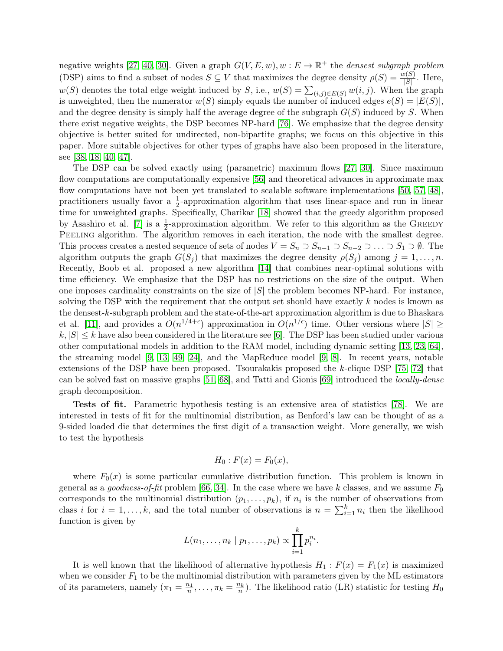negative weights [\[27,](#page-14-12) [40,](#page-15-9) [30\]](#page-14-13). Given a graph  $G(V, E, w)$ ,  $w : E \to \mathbb{R}^+$  the *densest subgraph problem* (DSP) aims to find a subset of nodes  $S \subseteq V$  that maximizes the degree density  $\rho(S) = \frac{w(S)}{|S|}$ . Here,  $w(S)$  denotes the total edge weight induced by S, i.e.,  $w(S) = \sum_{(i,j) \in E(S)} w(i,j)$ . When the graph is unweighted, then the numerator  $w(S)$  simply equals the number of induced edges  $e(S) = |E(S)|$ , and the degree density is simply half the average degree of the subgraph  $G(S)$  induced by S. When there exist negative weights, the DSP becomes NP-hard [\[76\]](#page-17-9). We emphasize that the degree density objective is better suited for undirected, non-bipartite graphs; we focus on this objective in this paper. More suitable objectives for other types of graphs have also been proposed in the literature, see [\[38,](#page-15-10) [18,](#page-13-6) [40,](#page-15-9) [47\]](#page-15-11).

The DSP can be solved exactly using (parametric) maximum flows [\[27,](#page-14-12) [30\]](#page-14-13). Since maximum flow computations are computationally expensive [\[56\]](#page-16-10) and theoretical advances in approximate max flow computations have not been yet translated to scalable software implementations [\[50,](#page-16-11) [57,](#page-16-12) [48\]](#page-15-12), practitioners usually favor a  $\frac{1}{2}$ -approximation algorithm that uses linear-space and run in linear time for unweighted graphs. Specifically, Charikar [\[18\]](#page-13-6) showed that the greedy algorithm proposed by Asashiro et al. [\[7\]](#page-13-7) is a  $\frac{1}{2}$ -approximation algorithm. We refer to this algorithm as the GREEDY PEELING algorithm. The algorithm removes in each iteration, the node with the smallest degree. This process creates a nested sequence of sets of nodes  $V = S_n \supset S_{n-1} \supset S_{n-2} \supset \ldots \supset S_1 \supset \emptyset$ . The algorithm outputs the graph  $G(S_j)$  that maximizes the degree density  $\rho(S_j)$  among  $j = 1, \ldots, n$ . Recently, Boob et al. proposed a new algorithm [\[14\]](#page-13-8) that combines near-optimal solutions with time efficiency. We emphasize that the DSP has no restrictions on the size of the output. When one imposes cardinality constraints on the size of  $|S|$  the problem becomes NP-hard. For instance, solving the DSP with the requirement that the output set should have exactly  $k$  nodes is known as the densest-k-subgraph problem and the state-of-the-art approximation algorithm is due to Bhaskara et al. [\[11\]](#page-13-9), and provides a  $O(n^{1/4+\epsilon})$  approximation in  $O(n^{1/\epsilon})$  time. Other versions where  $|S| \ge$  $k, |S| \leq k$  have also been considered in the literature see [\[6\]](#page-13-10). The DSP has been studied under various other computational models in addition to the RAM model, including dynamic setting [\[13,](#page-13-11) [23,](#page-14-14) [64\]](#page-17-10), the streaming model [\[9,](#page-13-12) [13,](#page-13-11) [49,](#page-15-13) [24\]](#page-14-15), and the MapReduce model [\[9,](#page-13-12) [8\]](#page-13-13). In recent years, notable extensions of the DSP have been proposed. Tsourakakis proposed the k-clique DSP [\[75,](#page-17-11) [72\]](#page-17-5) that can be solved fast on massive graphs [\[51,](#page-16-4) [68\]](#page-17-12), and Tatti and Gionis [\[69\]](#page-17-13) introduced the locally-dense graph decomposition.

Tests of fit. Parametric hypothesis testing is an extensive area of statistics [\[78\]](#page-17-14). We are interested in tests of fit for the multinomial distribution, as Benford's law can be thought of as a 9-sided loaded die that determines the first digit of a transaction weight. More generally, we wish to test the hypothesis

$$
H_0: F(x) = F_0(x),
$$

where  $F_0(x)$  is some particular cumulative distribution function. This problem is known in general as a goodness-of-fit problem [\[66,](#page-17-2) [34\]](#page-14-3). In the case where we have k classes, and we assume  $F_0$ corresponds to the multinomial distribution  $(p_1, \ldots, p_k)$ , if  $n_i$  is the number of observations from class i for  $i = 1, ..., k$ , and the total number of observations is  $n = \sum_{i=1}^{k} n_i$  then the likelihood function is given by

$$
L(n_1,\ldots,n_k | p_1,\ldots,p_k) \propto \prod_{i=1}^k p_i^{n_i}.
$$

It is well known that the likelihood of alternative hypothesis  $H_1 : F(x) = F_1(x)$  is maximized when we consider  $F_1$  to be the multinomial distribution with parameters given by the ML estimators of its parameters, namely  $(\pi_1 = \frac{n_1}{n}, \dots, \pi_k = \frac{n_k}{n})$ . The likelihood ratio (LR) statistic for testing  $H_0$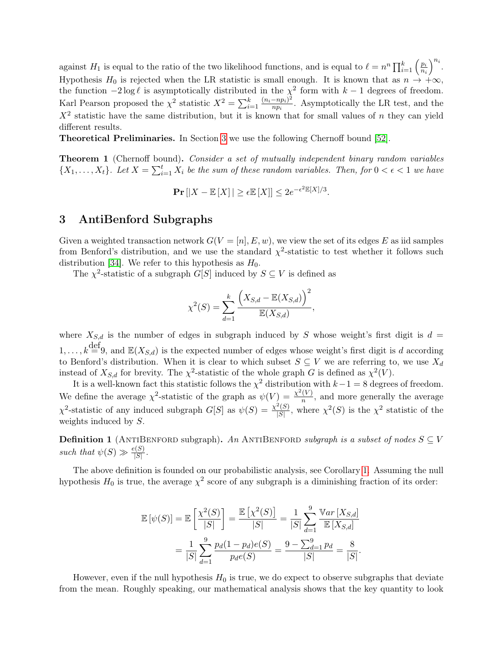against  $H_1$  is equal to the ratio of the two likelihood functions, and is equal to  $\ell = n^n \prod_{i=1}^k \left( \frac{p_i}{n_i} \right)$  $\overline{n_i}$  $\big)^{n_i}$ . Hypothesis H<sub>0</sub> is rejected when the LR statistic is small enough. It is known that as  $n \to +\infty$ , the function  $-2 \log \ell$  is asymptotically distributed in the  $\chi^2$  form with  $k-1$  degrees of freedom. Karl Pearson proposed the  $\chi^2$  statistic  $X^2 = \sum_{i=1}^k \frac{(n_i - np_i)^2}{np_i}$  $\frac{-np_i}{np_i}$ . Asymptotically the LR test, and the  $X<sup>2</sup>$  statistic have the same distribution, but it is known that for small values of n they can yield different results.

Theoretical Preliminaries. In Section [3](#page-5-0) we use the following Chernoff bound [\[52\]](#page-16-13).

<span id="page-5-1"></span>Theorem 1 (Chernoff bound). Consider a set of mutually independent binary random variables  $\{X_1,\ldots,X_t\}$ . Let  $X=\sum_{i=1}^t X_i$  be the sum of these random variables. Then, for  $0 < \epsilon < 1$  we have

 $\Pr\left[|X-\mathbb{E}\left[X\right]| \geq \epsilon \mathbb{E}\left[X\right]\right] \leq 2e^{-\epsilon^2 \mathbb{E}\left[X\right]/3}.$ 

### <span id="page-5-0"></span>3 AntiBenford Subgraphs

Given a weighted transaction network  $G(V = [n], E, w)$ , we view the set of its edges E as iid samples from Benford's distribution, and we use the standard  $\chi^2$ -statistic to test whether it follows such distribution [\[34\]](#page-14-3). We refer to this hypothesis as  $H_0$ .

The  $\chi^2$ -statistic of a subgraph  $G[S]$  induced by  $S \subseteq V$  is defined as

$$
\chi^{2}(S) = \sum_{d=1}^{k} \frac{(X_{S,d} - \mathbb{E}(X_{S,d}))^{2}}{\mathbb{E}(X_{S,d})}
$$

,

where  $X_{S,d}$  is the number of edges in subgraph induced by S whose weight's first digit is  $d =$  $1, \ldots, k \stackrel{\text{def}}{=} 9$ , and  $\mathbb{E}(X_{S,d})$  is the expected number of edges whose weight's first digit is d according to Benford's distribution. When it is clear to which subset  $S \subseteq V$  we are referring to, we use  $X_d$ instead of  $X_{S,d}$  for brevity. The  $\chi^2$ -statistic of the whole graph G is defined as  $\chi^2(V)$ .

It is a well-known fact this statistic follows the  $\chi^2$  distribution with  $k-1=8$  degrees of freedom. We define the average  $\chi^2$ -statistic of the graph as  $\psi(V) = \frac{\chi^2(V)}{n}$  $\frac{(V)}{n}$ , and more generally the average  $\chi^2$ -statistic of any induced subgraph  $G[S]$  as  $\psi(S) = \frac{\chi^2(S)}{|S|}$  $\frac{\gamma(S)}{|S|}$ , where  $\chi^2(S)$  is the  $\chi^2$  statistic of the weights induced by S.

**Definition 1** (ANTIBENFORD subgraph). An ANTIBENFORD subgraph is a subset of nodes  $S \subseteq V$ such that  $\psi(S) \gg \frac{e(S)}{|S|}$ .

The above definition is founded on our probabilistic analysis, see Corollary [1.](#page-7-0) Assuming the null hypothesis  $H_0$  is true, the average  $\chi^2$  score of any subgraph is a diminishing fraction of its order:

$$
\mathbb{E}[\psi(S)] = \mathbb{E}\left[\frac{\chi^2(S)}{|S|}\right] = \frac{\mathbb{E}\left[\chi^2(S)\right]}{|S|} = \frac{1}{|S|} \sum_{d=1}^9 \frac{\mathbb{V}ar\left[X_{S,d}\right]}{\mathbb{E}\left[X_{S,d}\right]} \n= \frac{1}{|S|} \sum_{d=1}^9 \frac{p_d(1-p_d)e(S)}{p_d e(S)} = \frac{9 - \sum_{d=1}^9 p_d}{|S|} = \frac{8}{|S|}.
$$

However, even if the null hypothesis  $H_0$  is true, we do expect to observe subgraphs that deviate from the mean. Roughly speaking, our mathematical analysis shows that the key quantity to look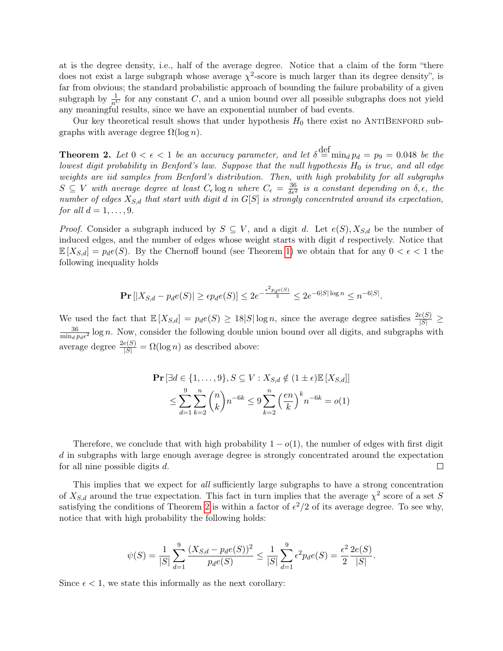at is the degree density, i.e., half of the average degree. Notice that a claim of the form "there does not exist a large subgraph whose average  $\chi^2$ -score is much larger than its degree density", is far from obvious; the standard probabilistic approach of bounding the failure probability of a given subgraph by  $\frac{1}{n^C}$  for any constant C, and a union bound over all possible subgraphs does not yield any meaningful results, since we have an exponential number of bad events.

Our key theoretical result shows that under hypothesis  $H_0$  there exist no ANTIBENFORD subgraphs with average degree  $\Omega(\log n)$ .

<span id="page-6-0"></span>**Theorem 2.** Let  $0 < \epsilon < 1$  be an accuracy parameter, and let  $\delta \stackrel{\text{def}}{=} \min_d p_d = p_9 = 0.048$  be the lowest digit probability in Benford's law. Suppose that the null hypothesis  $H_0$  is true, and all edge weights are iid samples from Benford's distribution. Then, with high probability for all subgraphs  $S \subseteq V$  with average degree at least  $C_{\epsilon}$  log n where  $C_{\epsilon} = \frac{36}{\delta \epsilon^2}$  is a constant depending on  $\delta, \epsilon$ , the number of edges  $X_{S,d}$  that start with digit d in  $G[S]$  is strongly concentrated around its expectation, for all  $d = 1, \ldots, 9$ .

*Proof.* Consider a subgraph induced by  $S \subseteq V$ , and a digit d. Let  $e(S)$ ,  $X_{S,d}$  be the number of induced edges, and the number of edges whose weight starts with digit d respectively. Notice that  $\mathbb{E}[X_{S,d}] = p_d e(S)$ . By the Chernoff bound (see Theorem [1\)](#page-5-1) we obtain that for any  $0 < \epsilon < 1$  the following inequality holds

$$
\mathbf{Pr}\left[|X_{S,d} - p_d e(S)| \ge \epsilon p_d e(S)\right] \le 2e^{-\frac{\epsilon^2 p_d e(S)}{3}} \le 2e^{-6|S|\log n} \le n^{-6|S|}.
$$

We used the fact that  $\mathbb{E}[X_{S,d}] = p_d e(S) \geq 18|S| \log n$ , since the average degree satisfies  $\frac{2e(S)}{|S|} \geq$ 36  $\frac{36}{\min_d p_d \epsilon^2} \log n$ . Now, consider the following double union bound over all digits, and subgraphs with average degree  $\frac{2e(S)}{|S|} = \Omega(\log n)$  as described above:

$$
\mathbf{Pr}\left[\exists d \in \{1,\ldots,9\}, S \subseteq V : X_{S,d} \notin (1 \pm \epsilon) \mathbb{E}\left[X_{S,d}\right]\right] \leq \sum_{d=1}^{9} \sum_{k=2}^{n} {n \choose k} n^{-6k} \leq 9 \sum_{k=2}^{n} \left(\frac{en}{k}\right)^k n^{-6k} = o(1)
$$

Therefore, we conclude that with high probability  $1 - o(1)$ , the number of edges with first digit d in subgraphs with large enough average degree is strongly concentrated around the expectation for all nine possible digits d.  $\Box$ 

This implies that we expect for all sufficiently large subgraphs to have a strong concentration of  $X_{S,d}$  around the true expectation. This fact in turn implies that the average  $\chi^2$  score of a set S satisfying the conditions of Theorem [2](#page-6-0) is within a factor of  $\epsilon^2/2$  of its average degree. To see why, notice that with high probability the following holds:

$$
\psi(S) = \frac{1}{|S|} \sum_{d=1}^{9} \frac{(X_{S,d} - p_d e(S))^2}{p_d e(S)} \le \frac{1}{|S|} \sum_{d=1}^{9} \epsilon^2 p_d e(S) = \frac{\epsilon^2}{2} \frac{2e(S)}{|S|}.
$$

Since  $\epsilon$  < 1, we state this informally as the next corollary: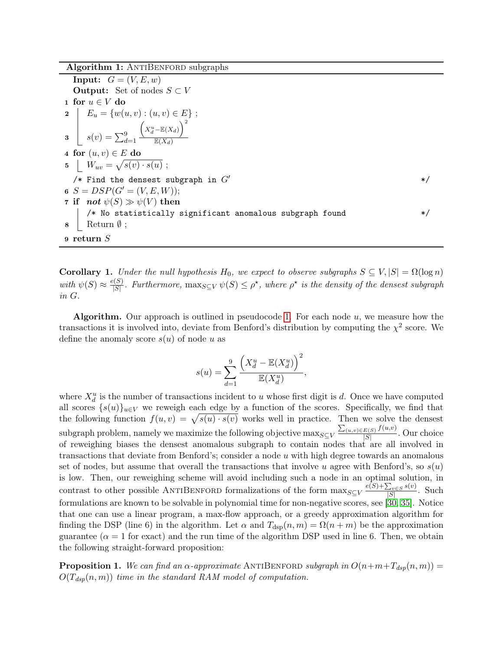Algorithm 1: ANTIBENFORD subgraphs

<span id="page-7-1"></span>**Input:**  $G = (V, E, w)$ **Output:** Set of nodes  $S \subset V$ 1 for  $u \in V$  do 2  $E_u = \{w(u, v) : (u, v) \in E\};$  $\mathbf{s}(v) = \sum_{d=1}^{9}$  $\Big(X_d^u - \mathbb{E}(X_d)\Big)^2$  $\overline{\mathbb{E}(X_d)}$ 4 for  $(u, v) \in E$  do 5  $W_{uv} = \sqrt{s(v) \cdot s(u)}$ ;  $/*$  Find the densest subgraph in  $G'$   $*/$ 6  $S = DSP(G' = (V, E, W));$ 7 if not  $\psi(S) \gg \psi(V)$  then /\* No statistically significant anomalous subgraph found \*/  $\mathbf{8}$  | Return  $\emptyset$ ; 9 return S

<span id="page-7-0"></span>**Corollary 1.** Under the null hypothesis H<sub>0</sub>, we expect to observe subgraphs  $S \subseteq V, |S| = \Omega(\log n)$ with  $\psi(S) \approx \frac{e(S)}{|S|}$  $\frac{\phi(S)}{|S|}$ . Furthermore,  $\max_{S \subseteq V} \psi(S) \leq \rho^*$ , where  $\rho^*$  is the density of the densest subgraph in G.

**Algorithm.** Our approach is outlined in pseudocode [1.](#page-7-1) For each node  $u$ , we measure how the transactions it is involved into, deviate from Benford's distribution by computing the  $\chi^2$  score. We define the anomaly score  $s(u)$  of node u as

$$
s(u) = \sum_{d=1}^{9} \frac{\left(X_d^u - \mathbb{E}(X_d^u)\right)^2}{\mathbb{E}(X_d^u)},
$$

where  $X_d^u$  is the number of transactions incident to u whose first digit is d. Once we have computed all scores  $\{s(u)\}_{u\in V}$  we reweigh each edge by a function of the scores. Specifically, we find that the following function  $f(u, v) = \sqrt{s(u) \cdot s(v)}$  works well in practice. Then we solve the densest subgraph problem, namely we maximize the following objective  $\max_{S \subseteq V} \frac{\sum_{(u,v) \in E(S)} f(u,v)}{|S|}$  $\frac{E(S) J(\alpha, c)}{|S|}$ . Our choice of reweighing biases the densest anomalous subgraph to contain nodes that are all involved in transactions that deviate from Benford's; consider a node  $u$  with high degree towards an anomalous set of nodes, but assume that overall the transactions that involve u agree with Benford's, so  $s(u)$ is low. Then, our reweighing scheme will avoid including such a node in an optimal solution, in contrast to other possible ANTIBENFORD formalizations of the form  $\max_{S \subseteq V} \frac{e(S) + \sum_{v \in S} s(v)}{|S|}$  $\frac{\sum_{v \in S} s(v)}{|S|}$ . Such formulations are known to be solvable in polynomial time for non-negative scores, see [\[30,](#page-14-13) [35\]](#page-15-2). Notice that one can use a linear program, a max-flow approach, or a greedy approximation algorithm for finding the DSP (line 6) in the algorithm. Let  $\alpha$  and  $T_{\text{dsp}}(n,m) = \Omega(n+m)$  be the approximation guarantee ( $\alpha = 1$  for exact) and the run time of the algorithm DSP used in line 6. Then, we obtain the following straight-forward proposition:

**Proposition 1.** We can find an  $\alpha$ -approximate ANTIBENFORD subgraph in  $O(n+m+T_{dsp}(n, m))$  =  $O(T_{dsp}(n,m))$  time in the standard RAM model of computation.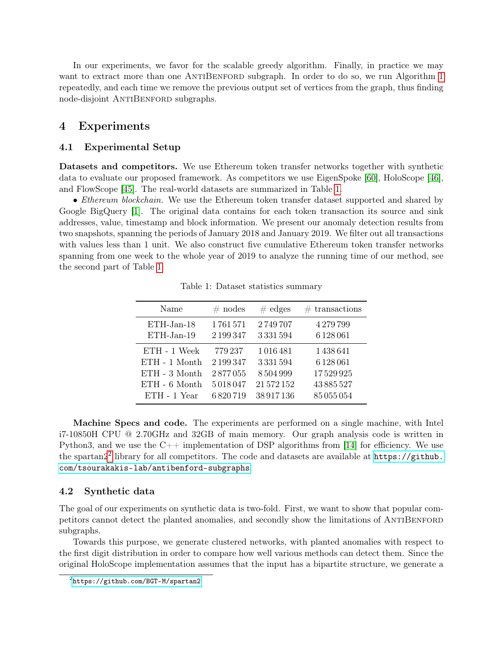In our experiments, we favor for the scalable greedy algorithm. Finally, in practice we may want to extract more than one ANTIBENFORD subgraph. In order to do so, we run Algorithm [1](#page-7-1) repeatedly, and each time we remove the previous output set of vertices from the graph, thus finding node-disjoint ANTIBENFORD subgraphs.

### <span id="page-8-0"></span>4 Experiments

#### 4.1 Experimental Setup

Datasets and competitors. We use Ethereum token transfer networks together with synthetic data to evaluate our proposed framework. As competitors we use EigenSpoke [\[60\]](#page-16-8), HoloScope [\[46\]](#page-15-0), and FlowScope [\[45\]](#page-15-1). The real-world datasets are summarized in Table [1.](#page-8-1)

• *Ethereum blockchain*. We use the Ethereum token transfer dataset supported and shared by Google BigQuery [\[1\]](#page-12-3). The original data contains for each token transaction its source and sink addresses, value, timestamp and block information. We present our anomaly detection results from two snapshots, spanning the periods of January 2018 and January 2019. We filter out all transactions with values less than 1 unit. We also construct five cumulative Ethereum token transfer networks spanning from one week to the whole year of 2019 to analyze the running time of our method, see the second part of Table [1.](#page-8-1)

<span id="page-8-1"></span>

| Name            | $#$ nodes | $\#$ edges | $#$ transactions |
|-----------------|-----------|------------|------------------|
| ETH-Jan-18      | 1761571   | 2749707    | 4279799          |
| ETH-Jan-19      | 2 199 347 | 3331594    | 6128061          |
| ETH - 1 Week    | 779 237   | 1016481    | 1438641          |
| ETH - 1 Month   | 2 199 347 | 3331594    | 6128061          |
| $ETH - 3$ Month | 2877055   | 8504999    | 17529925         |
| ETH - 6 Month   | 5018047   | 21572152   | 43 885 527       |
| $ETH - 1$ Year  | 6820719   | 38 917 136 | 85055054         |

Table 1: Dataset statistics summary

Machine Specs and code. The experiments are performed on a single machine, with Intel i7-10850H CPU @ 2.70GHz and 32GB of main memory. Our graph analysis code is written in Python3, and we use the  $C++$  implementation of DSP algorithms from [\[14\]](#page-13-8) for efficiency. We use the spartan $2^2$  $2^2$  library for all competitors. The code and datasets are available at  $https://github.com/1001626$  $https://github.com/1001626$ [com/tsourakakis-lab/antibenford-subgraphs](https://github.com/tsourakakis-lab/antibenford-subgraphs).

#### <span id="page-8-3"></span>4.2 Synthetic data

The goal of our experiments on synthetic data is two-fold. First, we want to show that popular competitors cannot detect the planted anomalies, and secondly show the limitations of AntiBenford subgraphs.

Towards this purpose, we generate clustered networks, with planted anomalies with respect to the first digit distribution in order to compare how well various methods can detect them. Since the original HoloScope implementation assumes that the input has a bipartite structure, we generate a

<span id="page-8-2"></span> $^{2}$ <https://github.com/BGT-M/spartan2>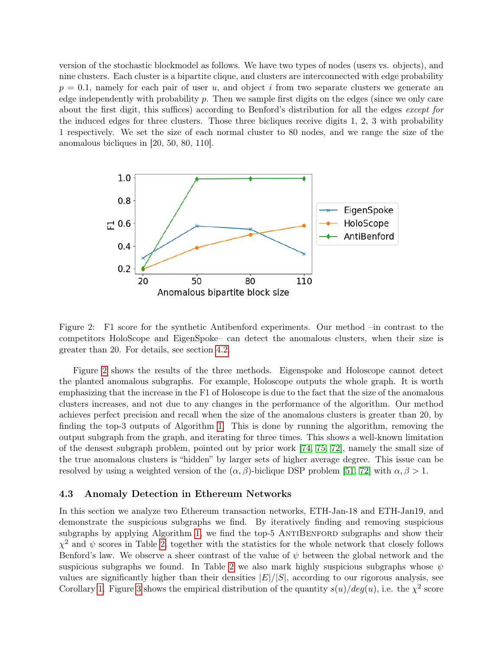version of the stochastic blockmodel as follows. We have two types of nodes (users vs. objects), and nine clusters. Each cluster is a bipartite clique, and clusters are interconnected with edge probability  $p = 0.1$ , namely for each pair of user u, and object i from two separate clusters we generate an edge independently with probability  $p$ . Then we sample first digits on the edges (since we only care about the first digit, this suffices) according to Benford's distribution for all the edges except for the induced edges for three clusters. Those three bicliques receive digits 1, 2, 3 with probability 1 respectively. We set the size of each normal cluster to 80 nodes, and we range the size of the anomalous bicliques in [20, 50, 80, 110].

<span id="page-9-1"></span>

Figure 2: F1 score for the synthetic Antibenford experiments. Our method –in contrast to the competitors HoloScope and EigenSpoke– can detect the anomalous clusters, when their size is greater than 20. For details, see section [4.2.](#page-8-3)

Figure [2](#page-9-1) shows the results of the three methods. Eigenspoke and Holoscope cannot detect the planted anomalous subgraphs. For example, Holoscope outputs the whole graph. It is worth emphasizing that the increase in the F1 of Holoscope is due to the fact that the size of the anomalous clusters increases, and not due to any changes in the performance of the algorithm. Our method achieves perfect precision and recall when the size of the anomalous clusters is greater than 20, by finding the top-3 outputs of Algorithm [1.](#page-7-1) This is done by running the algorithm, removing the output subgraph from the graph, and iterating for three times. This shows a well-known limitation of the densest subgraph problem, pointed out by prior work [\[74,](#page-17-7) [75,](#page-17-11) [72\]](#page-17-5), namely the small size of the true anomalous clusters is "hidden" by larger sets of higher average degree. This issue can be resolved by using a weighted version of the  $(\alpha, \beta)$ -biclique DSP problem [\[51,](#page-16-4) [72\]](#page-17-5) with  $\alpha, \beta > 1$ .

#### <span id="page-9-0"></span>4.3 Anomaly Detection in Ethereum Networks

In this section we analyze two Ethereum transaction networks, ETH-Jan-18 and ETH-Jan19, and demonstrate the suspicious subgraphs we find. By iteratively finding and removing suspicious subgraphs by applying Algorithm [1,](#page-7-1) we find the top-5 ANTIBENFORD subgraphs and show their  $\chi^2$  and  $\psi$  scores in Table [2,](#page-10-0) together with the statistics for the whole network that closely follows Benford's law. We observe a sheer contrast of the value of  $\psi$  between the global network and the suspicious subgraphs we found. In Table [2](#page-10-0) we also mark highly suspicious subgraphs whose  $\psi$ values are significantly higher than their densities  $|E|/|S|$ , according to our rigorous analysis, see Corollary [1.](#page-7-0) Figure [3](#page-10-1) shows the empirical distribution of the quantity  $s(u)/deg(u)$ , i.e. the  $\chi^2$  score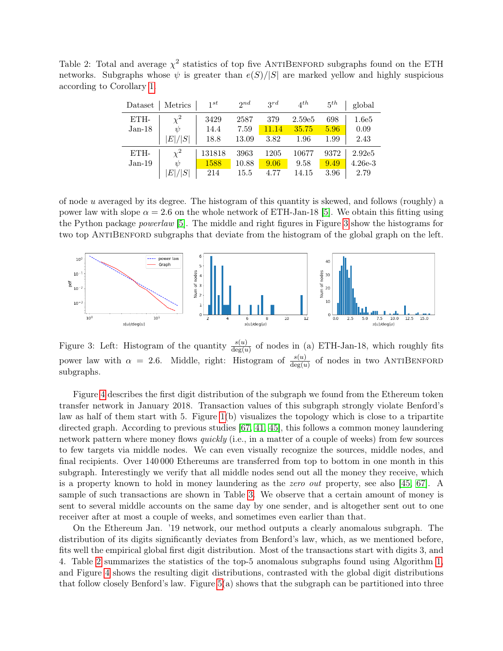<span id="page-10-0"></span>Table 2: Total and average  $\chi^2$  statistics of top five ANTIBENFORD subgraphs found on the ETH networks. Subgraphs whose  $\psi$  is greater than  $e(S)/|S|$  are marked yellow and highly suspicious according to Corollary [1.](#page-7-0)

| Dataset  | Metrics  | 1st    | 2nd   | 2rd   | $4^{th}$           | $5^{th}$ | global    |
|----------|----------|--------|-------|-------|--------------------|----------|-----------|
| ETH-     | $\chi^2$ | 3429   | 2587  | 379   | 2.59e <sub>5</sub> | 698      | 1.6e5     |
| $Jan-18$ | ψ        | 14.4   | 7.59  | 11.14 | 35.75              | 5.96     | 0.09      |
|          | E / S    | 18.8   | 13.09 | 3.82  | 1.96               | 1.99     | 2.43      |
| ETH-     | $\chi^2$ | 131818 | 3963  | 1205  | 10677              | 9372     | 2.92e5    |
| $Jan-19$ | ψ        | 1588   | 10.88 | 9.06  | 9.58               | 9.49     | $4.26e-3$ |
|          | E / S    | 214    | 15.5  | 4.77  | 14.15              | 3.96     | 2.79      |

of node u averaged by its degree. The histogram of this quantity is skewed, and follows (roughly) a power law with slope  $\alpha = 2.6$  on the whole network of ETH-Jan-18 [\[5\]](#page-13-14). We obtain this fitting using the Python package powerlaw [\[5\]](#page-13-14). The middle and right figures in Figure [3](#page-10-1) show the histograms for two top ANTIBENFORD subgraphs that deviate from the histogram of the global graph on the left.

<span id="page-10-1"></span>

Figure 3: Left: Histogram of the quantity  $\frac{s(u)}{\deg(u)}$  of nodes in (a) ETH-Jan-18, which roughly fits power law with  $\alpha = 2.6$ . Middle, right: Histogram of  $\frac{s(u)}{\deg(u)}$  of nodes in two ANTIBENFORD subgraphs.

Figure [4](#page-11-0) describes the first digit distribution of the subgraph we found from the Ethereum token transfer network in January 2018. Transaction values of this subgraph strongly violate Benford's law as half of them start with 5. Figure [1\(](#page-1-0)b) visualizes the topology which is close to a tripartite directed graph. According to previous studies [\[67,](#page-17-3) [41,](#page-15-14) [45\]](#page-15-1), this follows a common money laundering network pattern where money flows *quickly* (i.e., in a matter of a couple of weeks) from few sources to few targets via middle nodes. We can even visually recognize the sources, middle nodes, and final recipients. Over 140 000 Ethereums are transferred from top to bottom in one month in this subgraph. Interestingly we verify that all middle nodes send out all the money they receive, which is a property known to hold in money laundering as the zero out property, see also [\[45,](#page-15-1) [67\]](#page-17-3). A sample of such transactions are shown in Table [3.](#page-11-1) We observe that a certain amount of money is sent to several middle accounts on the same day by one sender, and is altogether sent out to one receiver after at most a couple of weeks, and sometimes even earlier than that.

On the Ethereum Jan. '19 network, our method outputs a clearly anomalous subgraph. The distribution of its digits significantly deviates from Benford's law, which, as we mentioned before, fits well the empirical global first digit distribution. Most of the transactions start with digits 3, and 4. Table [2](#page-10-0) summarizes the statistics of the top-5 anomalous subgraphs found using Algorithm [1,](#page-7-1) and Figure [4](#page-11-0) shows the resulting digit distributions, contrasted with the global digit distributions that follow closely Benford's law. Figure  $5(a)$  shows that the subgraph can be partitioned into three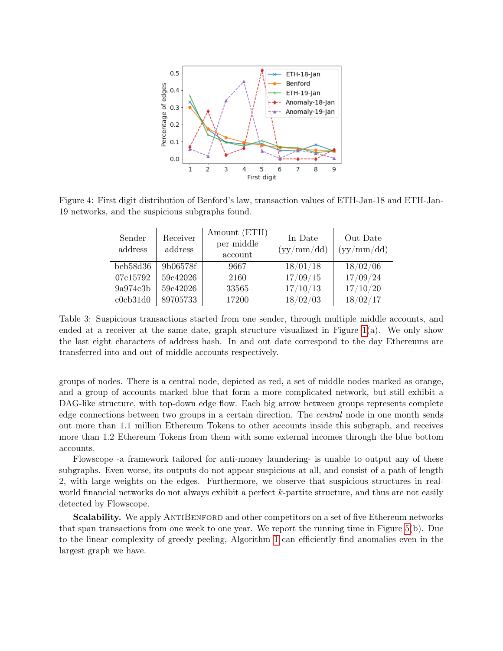<span id="page-11-0"></span>

<span id="page-11-1"></span>Figure 4: First digit distribution of Benford's law, transaction values of ETH-Jan-18 and ETH-Jan-19 networks, and the suspicious subgraphs found.

| Sender<br>address | Receiver<br>address | Amount (ETH)<br>per middle<br>account | In Date<br>(yy/mm / dd) | Out Date<br>$\left(\frac{\text{yy}}{\text{mm}}\right)\text{dd}$ |
|-------------------|---------------------|---------------------------------------|-------------------------|-----------------------------------------------------------------|
| beb58d36          | 9b06578f            | 9667                                  | 18/01/18                | 18/02/06                                                        |
| 07c15792          | 59c42026            | 2160                                  | 17/09/15                | 17/09/24                                                        |
| 9a974c3b          | 59c42026            | 33565                                 | 17/10/13                | 17/10/20                                                        |
| c0cb31d0          | 89705733            | 17200                                 | 18/02/03                | 18/02/17                                                        |

Table 3: Suspicious transactions started from one sender, through multiple middle accounts, and ended at a receiver at the same date, graph structure visualized in Figure  $1(a)$ . We only show the last eight characters of address hash. In and out date correspond to the day Ethereums are transferred into and out of middle accounts respectively.

groups of nodes. There is a central node, depicted as red, a set of middle nodes marked as orange, and a group of accounts marked blue that form a more complicated network, but still exhibit a DAG-like structure, with top-down edge flow. Each big arrow between groups represents complete edge connections between two groups in a certain direction. The central node in one month sends out more than 1.1 million Ethereum Tokens to other accounts inside this subgraph, and receives more than 1.2 Ethereum Tokens from them with some external incomes through the blue bottom accounts.

Flowscope -a framework tailored for anti-money laundering- is unable to output any of these subgraphs. Even worse, its outputs do not appear suspicious at all, and consist of a path of length 2, with large weights on the edges. Furthermore, we observe that suspicious structures in realworld financial networks do not always exhibit a perfect k-partite structure, and thus are not easily detected by Flowscope.

Scalability. We apply ANTIBENFORD and other competitors on a set of five Ethereum networks that span transactions from one week to one year. We report the running time in Figure [5\(](#page-12-4)b). Due to the linear complexity of greedy peeling, Algorithm [1](#page-7-1) can efficiently find anomalies even in the largest graph we have.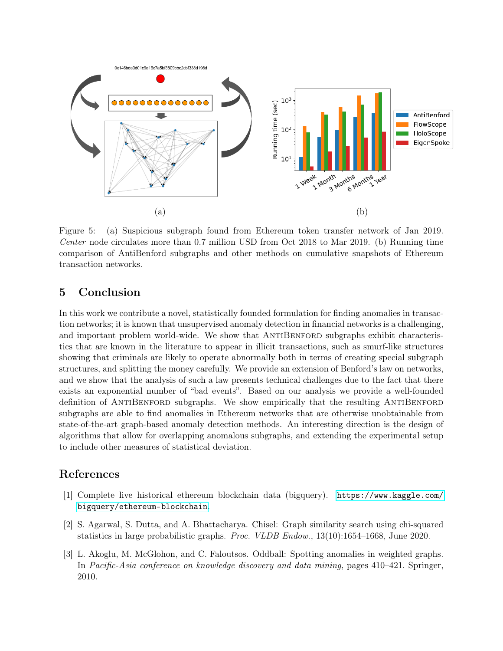<span id="page-12-4"></span>

Figure 5: (a) Suspicious subgraph found from Ethereum token transfer network of Jan 2019. Center node circulates more than 0.7 million USD from Oct 2018 to Mar 2019. (b) Running time comparison of AntiBenford subgraphs and other methods on cumulative snapshots of Ethereum transaction networks.

# <span id="page-12-0"></span>5 Conclusion

In this work we contribute a novel, statistically founded formulation for finding anomalies in transaction networks; it is known that unsupervised anomaly detection in financial networks is a challenging, and important problem world-wide. We show that ANTIBENFORD subgraphs exhibit characteristics that are known in the literature to appear in illicit transactions, such as smurf-like structures showing that criminals are likely to operate abnormally both in terms of creating special subgraph structures, and splitting the money carefully. We provide an extension of Benford's law on networks, and we show that the analysis of such a law presents technical challenges due to the fact that there exists an exponential number of "bad events". Based on our analysis we provide a well-founded definition of ANTIBENFORD subgraphs. We show empirically that the resulting ANTIBENFORD subgraphs are able to find anomalies in Ethereum networks that are otherwise unobtainable from state-of-the-art graph-based anomaly detection methods. An interesting direction is the design of algorithms that allow for overlapping anomalous subgraphs, and extending the experimental setup to include other measures of statistical deviation.

# References

- <span id="page-12-3"></span>[1] Complete live historical ethereum blockchain data (bigquery). [https://www.kaggle.com/](https://www.kaggle.com/bigquery/ethereum-blockchain) [bigquery/ethereum-blockchain](https://www.kaggle.com/bigquery/ethereum-blockchain).
- <span id="page-12-2"></span>[2] S. Agarwal, S. Dutta, and A. Bhattacharya. Chisel: Graph similarity search using chi-squared statistics in large probabilistic graphs. Proc. VLDB Endow., 13(10):1654–1668, June 2020.
- <span id="page-12-1"></span>[3] L. Akoglu, M. McGlohon, and C. Faloutsos. Oddball: Spotting anomalies in weighted graphs. In Pacific-Asia conference on knowledge discovery and data mining, pages 410–421. Springer, 2010.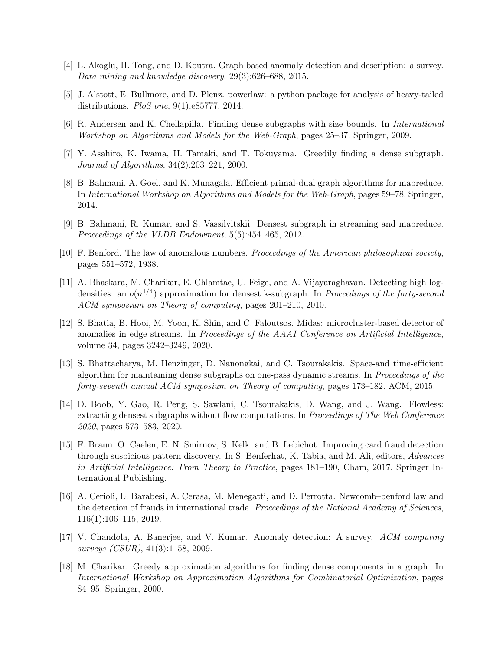- <span id="page-13-4"></span>[4] L. Akoglu, H. Tong, and D. Koutra. Graph based anomaly detection and description: a survey. Data mining and knowledge discovery, 29(3):626–688, 2015.
- <span id="page-13-14"></span>[5] J. Alstott, E. Bullmore, and D. Plenz. powerlaw: a python package for analysis of heavy-tailed distributions. PloS one, 9(1):e85777, 2014.
- <span id="page-13-10"></span>[6] R. Andersen and K. Chellapilla. Finding dense subgraphs with size bounds. In International Workshop on Algorithms and Models for the Web-Graph, pages 25–37. Springer, 2009.
- <span id="page-13-7"></span>[7] Y. Asahiro, K. Iwama, H. Tamaki, and T. Tokuyama. Greedily finding a dense subgraph. Journal of Algorithms, 34(2):203–221, 2000.
- <span id="page-13-13"></span>[8] B. Bahmani, A. Goel, and K. Munagala. Efficient primal-dual graph algorithms for mapreduce. In International Workshop on Algorithms and Models for the Web-Graph, pages 59–78. Springer, 2014.
- <span id="page-13-12"></span>[9] B. Bahmani, R. Kumar, and S. Vassilvitskii. Densest subgraph in streaming and mapreduce. Proceedings of the VLDB Endowment, 5(5):454–465, 2012.
- <span id="page-13-1"></span>[10] F. Benford. The law of anomalous numbers. Proceedings of the American philosophical society, pages 551–572, 1938.
- <span id="page-13-9"></span>[11] A. Bhaskara, M. Charikar, E. Chlamtac, U. Feige, and A. Vijayaraghavan. Detecting high logdensities: an  $o(n^{1/4})$  approximation for densest k-subgraph. In Proceedings of the forty-second ACM symposium on Theory of computing, pages 201–210, 2010.
- <span id="page-13-3"></span>[12] S. Bhatia, B. Hooi, M. Yoon, K. Shin, and C. Faloutsos. Midas: microcluster-based detector of anomalies in edge streams. In Proceedings of the AAAI Conference on Artificial Intelligence, volume 34, pages 3242–3249, 2020.
- <span id="page-13-11"></span>[13] S. Bhattacharya, M. Henzinger, D. Nanongkai, and C. Tsourakakis. Space-and time-efficient algorithm for maintaining dense subgraphs on one-pass dynamic streams. In Proceedings of the forty-seventh annual ACM symposium on Theory of computing, pages 173–182. ACM, 2015.
- <span id="page-13-8"></span>[14] D. Boob, Y. Gao, R. Peng, S. Sawlani, C. Tsourakakis, D. Wang, and J. Wang. Flowless: extracting densest subgraphs without flow computations. In Proceedings of The Web Conference 2020, pages 573–583, 2020.
- <span id="page-13-5"></span>[15] F. Braun, O. Caelen, E. N. Smirnov, S. Kelk, and B. Lebichot. Improving card fraud detection through suspicious pattern discovery. In S. Benferhat, K. Tabia, and M. Ali, editors, Advances in Artificial Intelligence: From Theory to Practice, pages 181–190, Cham, 2017. Springer International Publishing.
- <span id="page-13-2"></span>[16] A. Cerioli, L. Barabesi, A. Cerasa, M. Menegatti, and D. Perrotta. Newcomb–benford law and the detection of frauds in international trade. Proceedings of the National Academy of Sciences, 116(1):106–115, 2019.
- <span id="page-13-0"></span>[17] V. Chandola, A. Banerjee, and V. Kumar. Anomaly detection: A survey. ACM computing surveys (CSUR), 41(3):1–58, 2009.
- <span id="page-13-6"></span>[18] M. Charikar. Greedy approximation algorithms for finding dense components in a graph. In International Workshop on Approximation Algorithms for Combinatorial Optimization, pages 84–95. Springer, 2000.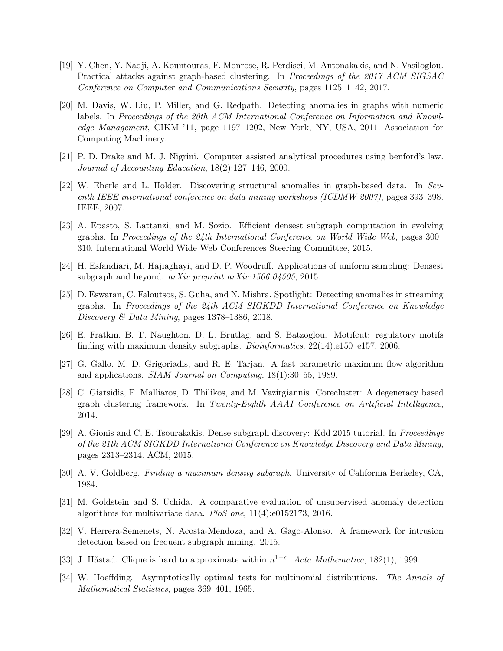- <span id="page-14-4"></span>[19] Y. Chen, Y. Nadji, A. Kountouras, F. Monrose, R. Perdisci, M. Antonakakis, and N. Vasiloglou. Practical attacks against graph-based clustering. In Proceedings of the 2017 ACM SIGSAC Conference on Computer and Communications Security, pages 1125–1142, 2017.
- <span id="page-14-7"></span>[20] M. Davis, W. Liu, P. Miller, and G. Redpath. Detecting anomalies in graphs with numeric labels. In Proceedings of the 20th ACM International Conference on Information and Knowledge Management, CIKM '11, page 1197–1202, New York, NY, USA, 2011. Association for Computing Machinery.
- <span id="page-14-0"></span>[21] P. D. Drake and M. J. Nigrini. Computer assisted analytical procedures using benford's law. Journal of Accounting Education, 18(2):127–146, 2000.
- <span id="page-14-5"></span>[22] W. Eberle and L. Holder. Discovering structural anomalies in graph-based data. In Seventh IEEE international conference on data mining workshops (ICDMW 2007), pages 393–398. IEEE, 2007.
- <span id="page-14-14"></span>[23] A. Epasto, S. Lattanzi, and M. Sozio. Efficient densest subgraph computation in evolving graphs. In Proceedings of the 24th International Conference on World Wide Web, pages 300– 310. International World Wide Web Conferences Steering Committee, 2015.
- <span id="page-14-15"></span>[24] H. Esfandiari, M. Hajiaghayi, and D. P. Woodruff. Applications of uniform sampling: Densest subgraph and beyond. *arXiv preprint arXiv:1506.04505*, 2015.
- <span id="page-14-2"></span>[25] D. Eswaran, C. Faloutsos, S. Guha, and N. Mishra. Spotlight: Detecting anomalies in streaming graphs. In Proceedings of the 24th ACM SIGKDD International Conference on Knowledge Discovery & Data Mining, pages 1378–1386, 2018.
- <span id="page-14-10"></span>[26] E. Fratkin, B. T. Naughton, D. L. Brutlag, and S. Batzoglou. Motifcut: regulatory motifs finding with maximum density subgraphs. Bioinformatics, 22(14):e150–e157, 2006.
- <span id="page-14-12"></span>[27] G. Gallo, M. D. Grigoriadis, and R. E. Tarjan. A fast parametric maximum flow algorithm and applications. SIAM Journal on Computing, 18(1):30–55, 1989.
- <span id="page-14-6"></span>[28] C. Giatsidis, F. Malliaros, D. Thilikos, and M. Vazirgiannis. Corecluster: A degeneracy based graph clustering framework. In Twenty-Eighth AAAI Conference on Artificial Intelligence, 2014.
- <span id="page-14-9"></span>[29] A. Gionis and C. E. Tsourakakis. Dense subgraph discovery: Kdd 2015 tutorial. In Proceedings of the 21th ACM SIGKDD International Conference on Knowledge Discovery and Data Mining, pages 2313–2314. ACM, 2015.
- <span id="page-14-13"></span>[30] A. V. Goldberg. Finding a maximum density subgraph. University of California Berkeley, CA, 1984.
- <span id="page-14-1"></span>[31] M. Goldstein and S. Uchida. A comparative evaluation of unsupervised anomaly detection algorithms for multivariate data. PloS one, 11(4):e0152173, 2016.
- <span id="page-14-8"></span>[32] V. Herrera-Semenets, N. Acosta-Mendoza, and A. Gago-Alonso. A framework for intrusion detection based on frequent subgraph mining. 2015.
- <span id="page-14-11"></span>[33] J. Håstad. Clique is hard to approximate within  $n^{1-\epsilon}$ . Acta Mathematica, 182(1), 1999.
- <span id="page-14-3"></span>[34] W. Hoeffding. Asymptotically optimal tests for multinomial distributions. The Annals of Mathematical Statistics, pages 369–401, 1965.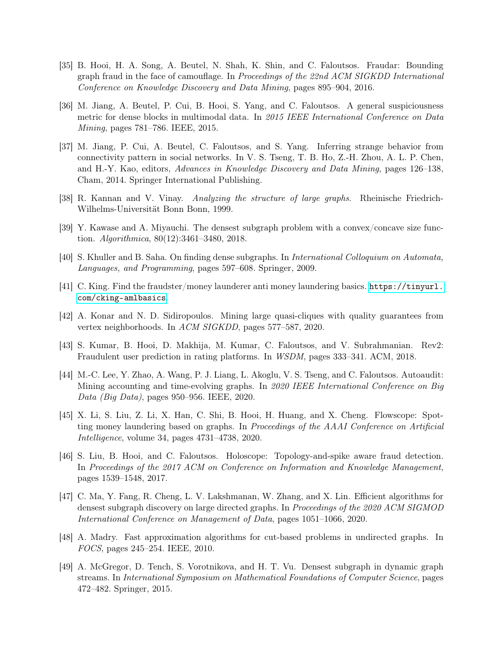- <span id="page-15-2"></span>[35] B. Hooi, H. A. Song, A. Beutel, N. Shah, K. Shin, and C. Faloutsos. Fraudar: Bounding graph fraud in the face of camouflage. In Proceedings of the 22nd ACM SIGKDD International Conference on Knowledge Discovery and Data Mining, pages 895–904, 2016.
- <span id="page-15-6"></span>[36] M. Jiang, A. Beutel, P. Cui, B. Hooi, S. Yang, and C. Faloutsos. A general suspiciousness metric for dense blocks in multimodal data. In 2015 IEEE International Conference on Data Mining, pages 781–786. IEEE, 2015.
- <span id="page-15-5"></span>[37] M. Jiang, P. Cui, A. Beutel, C. Faloutsos, and S. Yang. Inferring strange behavior from connectivity pattern in social networks. In V. S. Tseng, T. B. Ho, Z.-H. Zhou, A. L. P. Chen, and H.-Y. Kao, editors, Advances in Knowledge Discovery and Data Mining, pages 126–138, Cham, 2014. Springer International Publishing.
- <span id="page-15-10"></span>[38] R. Kannan and V. Vinay. Analyzing the structure of large graphs. Rheinische Friedrich-Wilhelms-Universität Bonn Bonn, 1999.
- <span id="page-15-7"></span>[39] Y. Kawase and A. Miyauchi. The densest subgraph problem with a convex/concave size function.  $Algorithmica$ ,  $80(12):3461-3480$ , 2018.
- <span id="page-15-9"></span>[40] S. Khuller and B. Saha. On finding dense subgraphs. In International Colloquium on Automata, Languages, and Programming, pages 597–608. Springer, 2009.
- <span id="page-15-14"></span>[41] C. King. Find the fraudster/money launderer anti money laundering basics. [https://tinyurl.](https://tinyurl.com/cking-amlbasics) [com/cking-amlbasics](https://tinyurl.com/cking-amlbasics).
- <span id="page-15-8"></span>[42] A. Konar and N. D. Sidiropoulos. Mining large quasi-cliques with quality guarantees from vertex neighborhoods. In ACM SIGKDD, pages 577–587, 2020.
- <span id="page-15-4"></span>[43] S. Kumar, B. Hooi, D. Makhija, M. Kumar, C. Faloutsos, and V. Subrahmanian. Rev2: Fraudulent user prediction in rating platforms. In WSDM, pages 333–341. ACM, 2018.
- <span id="page-15-3"></span>[44] M.-C. Lee, Y. Zhao, A. Wang, P. J. Liang, L. Akoglu, V. S. Tseng, and C. Faloutsos. Autoaudit: Mining accounting and time-evolving graphs. In 2020 IEEE International Conference on Big Data (Big Data), pages 950–956. IEEE, 2020.
- <span id="page-15-1"></span>[45] X. Li, S. Liu, Z. Li, X. Han, C. Shi, B. Hooi, H. Huang, and X. Cheng. Flowscope: Spotting money laundering based on graphs. In Proceedings of the AAAI Conference on Artificial Intelligence, volume 34, pages 4731–4738, 2020.
- <span id="page-15-0"></span>[46] S. Liu, B. Hooi, and C. Faloutsos. Holoscope: Topology-and-spike aware fraud detection. In Proceedings of the 2017 ACM on Conference on Information and Knowledge Management, pages 1539–1548, 2017.
- <span id="page-15-11"></span>[47] C. Ma, Y. Fang, R. Cheng, L. V. Lakshmanan, W. Zhang, and X. Lin. Efficient algorithms for densest subgraph discovery on large directed graphs. In Proceedings of the 2020 ACM SIGMOD International Conference on Management of Data, pages 1051–1066, 2020.
- <span id="page-15-12"></span>[48] A. Madry. Fast approximation algorithms for cut-based problems in undirected graphs. In FOCS, pages 245–254. IEEE, 2010.
- <span id="page-15-13"></span>[49] A. McGregor, D. Tench, S. Vorotnikova, and H. T. Vu. Densest subgraph in dynamic graph streams. In International Symposium on Mathematical Foundations of Computer Science, pages 472–482. Springer, 2015.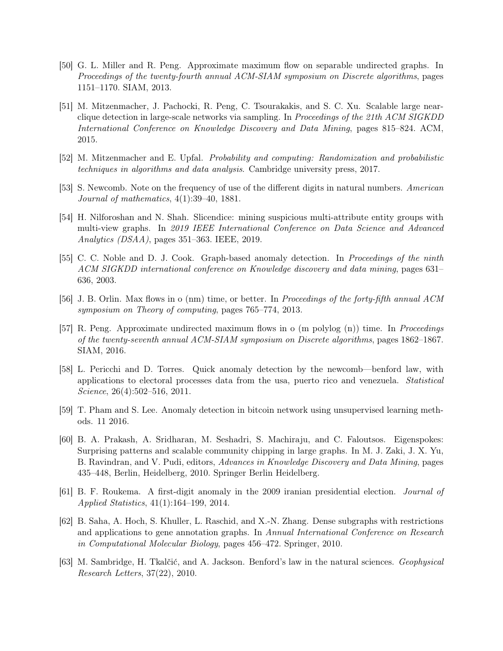- <span id="page-16-11"></span>[50] G. L. Miller and R. Peng. Approximate maximum flow on separable undirected graphs. In Proceedings of the twenty-fourth annual ACM-SIAM symposium on Discrete algorithms, pages 1151–1170. SIAM, 2013.
- <span id="page-16-4"></span>[51] M. Mitzenmacher, J. Pachocki, R. Peng, C. Tsourakakis, and S. C. Xu. Scalable large nearclique detection in large-scale networks via sampling. In Proceedings of the 21th ACM SIGKDD International Conference on Knowledge Discovery and Data Mining, pages 815–824. ACM, 2015.
- <span id="page-16-13"></span>[52] M. Mitzenmacher and E. Upfal. Probability and computing: Randomization and probabilistic techniques in algorithms and data analysis. Cambridge university press, 2017.
- <span id="page-16-0"></span>[53] S. Newcomb. Note on the frequency of use of the different digits in natural numbers. American Journal of mathematics, 4(1):39–40, 1881.
- <span id="page-16-6"></span>[54] H. Nilforoshan and N. Shah. Slicendice: mining suspicious multi-attribute entity groups with multi-view graphs. In 2019 IEEE International Conference on Data Science and Advanced Analytics (DSAA), pages 351–363. IEEE, 2019.
- <span id="page-16-5"></span>[55] C. C. Noble and D. J. Cook. Graph-based anomaly detection. In Proceedings of the ninth ACM SIGKDD international conference on Knowledge discovery and data mining, pages 631– 636, 2003.
- <span id="page-16-10"></span>[56] J. B. Orlin. Max flows in o (nm) time, or better. In Proceedings of the forty-fifth annual ACM symposium on Theory of computing, pages 765–774, 2013.
- <span id="page-16-12"></span>[57] R. Peng. Approximate undirected maximum flows in o (m polylog (n)) time. In Proceedings of the twenty-seventh annual ACM-SIAM symposium on Discrete algorithms, pages 1862–1867. SIAM, 2016.
- <span id="page-16-3"></span>[58] L. Pericchi and D. Torres. Quick anomaly detection by the newcomb—benford law, with applications to electoral processes data from the usa, puerto rico and venezuela. Statistical Science, 26(4):502–516, 2011.
- <span id="page-16-7"></span>[59] T. Pham and S. Lee. Anomaly detection in bitcoin network using unsupervised learning methods. 11 2016.
- <span id="page-16-8"></span>[60] B. A. Prakash, A. Sridharan, M. Seshadri, S. Machiraju, and C. Faloutsos. Eigenspokes: Surprising patterns and scalable community chipping in large graphs. In M. J. Zaki, J. X. Yu, B. Ravindran, and V. Pudi, editors, Advances in Knowledge Discovery and Data Mining, pages 435–448, Berlin, Heidelberg, 2010. Springer Berlin Heidelberg.
- <span id="page-16-1"></span>[61] B. F. Roukema. A first-digit anomaly in the 2009 iranian presidential election. Journal of Applied Statistics, 41(1):164–199, 2014.
- <span id="page-16-9"></span>[62] B. Saha, A. Hoch, S. Khuller, L. Raschid, and X.-N. Zhang. Dense subgraphs with restrictions and applications to gene annotation graphs. In Annual International Conference on Research in Computational Molecular Biology, pages 456–472. Springer, 2010.
- <span id="page-16-2"></span>[63] M. Sambridge, H. Tkalčić, and A. Jackson. Benford's law in the natural sciences. Geophysical Research Letters, 37(22), 2010.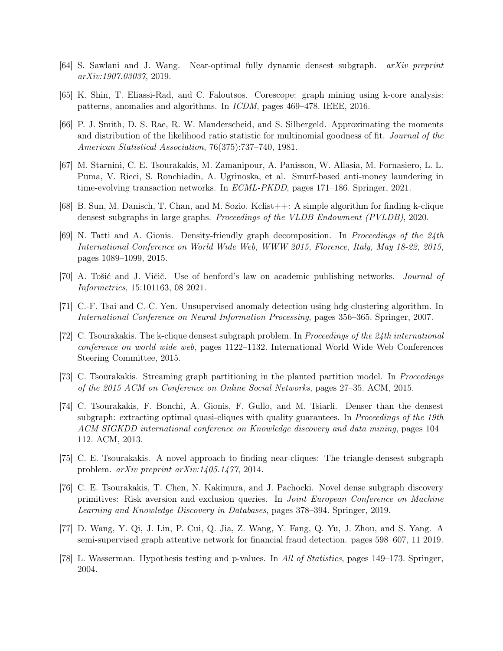- <span id="page-17-10"></span>[64] S. Sawlani and J. Wang. Near-optimal fully dynamic densest subgraph. arXiv preprint arXiv:1907.03037, 2019.
- <span id="page-17-4"></span>[65] K. Shin, T. Eliassi-Rad, and C. Faloutsos. Corescope: graph mining using k-core analysis: patterns, anomalies and algorithms. In ICDM, pages 469–478. IEEE, 2016.
- <span id="page-17-2"></span>[66] P. J. Smith, D. S. Rae, R. W. Manderscheid, and S. Silbergeld. Approximating the moments and distribution of the likelihood ratio statistic for multinomial goodness of fit. Journal of the American Statistical Association, 76(375):737–740, 1981.
- <span id="page-17-3"></span>[67] M. Starnini, C. E. Tsourakakis, M. Zamanipour, A. Panisson, W. Allasia, M. Fornasiero, L. L. Puma, V. Ricci, S. Ronchiadin, A. Ugrinoska, et al. Smurf-based anti-money laundering in time-evolving transaction networks. In ECML-PKDD, pages 171–186. Springer, 2021.
- <span id="page-17-12"></span>[68] B. Sun, M. Danisch, T. Chan, and M. Sozio. Kclist++: A simple algorithm for finding k-clique densest subgraphs in large graphs. Proceedings of the VLDB Endowment (PVLDB), 2020.
- <span id="page-17-13"></span>[69] N. Tatti and A. Gionis. Density-friendly graph decomposition. In Proceedings of the 24th International Conference on World Wide Web, WWW 2015, Florence, Italy, May 18-22, 2015, pages 1089–1099, 2015.
- <span id="page-17-0"></span>[70] A. Tošić and J. Vičič. Use of benford's law on academic publishing networks. Journal of Informetrics, 15:101163, 08 2021.
- <span id="page-17-1"></span>[71] C.-F. Tsai and C.-C. Yen. Unsupervised anomaly detection using hdg-clustering algorithm. In International Conference on Neural Information Processing, pages 356–365. Springer, 2007.
- <span id="page-17-5"></span>[72] C. Tsourakakis. The k-clique densest subgraph problem. In Proceedings of the 24th international conference on world wide web, pages 1122–1132. International World Wide Web Conferences Steering Committee, 2015.
- <span id="page-17-8"></span>[73] C. Tsourakakis. Streaming graph partitioning in the planted partition model. In Proceedings of the 2015 ACM on Conference on Online Social Networks, pages 27–35. ACM, 2015.
- <span id="page-17-7"></span>[74] C. Tsourakakis, F. Bonchi, A. Gionis, F. Gullo, and M. Tsiarli. Denser than the densest subgraph: extracting optimal quasi-cliques with quality guarantees. In *Proceedings of the 19th* ACM SIGKDD international conference on Knowledge discovery and data mining, pages 104– 112. ACM, 2013.
- <span id="page-17-11"></span>[75] C. E. Tsourakakis. A novel approach to finding near-cliques: The triangle-densest subgraph problem. arXiv preprint arXiv:1405.1477, 2014.
- <span id="page-17-9"></span>[76] C. E. Tsourakakis, T. Chen, N. Kakimura, and J. Pachocki. Novel dense subgraph discovery primitives: Risk aversion and exclusion queries. In Joint European Conference on Machine Learning and Knowledge Discovery in Databases, pages 378–394. Springer, 2019.
- <span id="page-17-6"></span>[77] D. Wang, Y. Qi, J. Lin, P. Cui, Q. Jia, Z. Wang, Y. Fang, Q. Yu, J. Zhou, and S. Yang. A semi-supervised graph attentive network for financial fraud detection. pages 598–607, 11 2019.
- <span id="page-17-14"></span>[78] L. Wasserman. Hypothesis testing and p-values. In All of Statistics, pages 149–173. Springer, 2004.